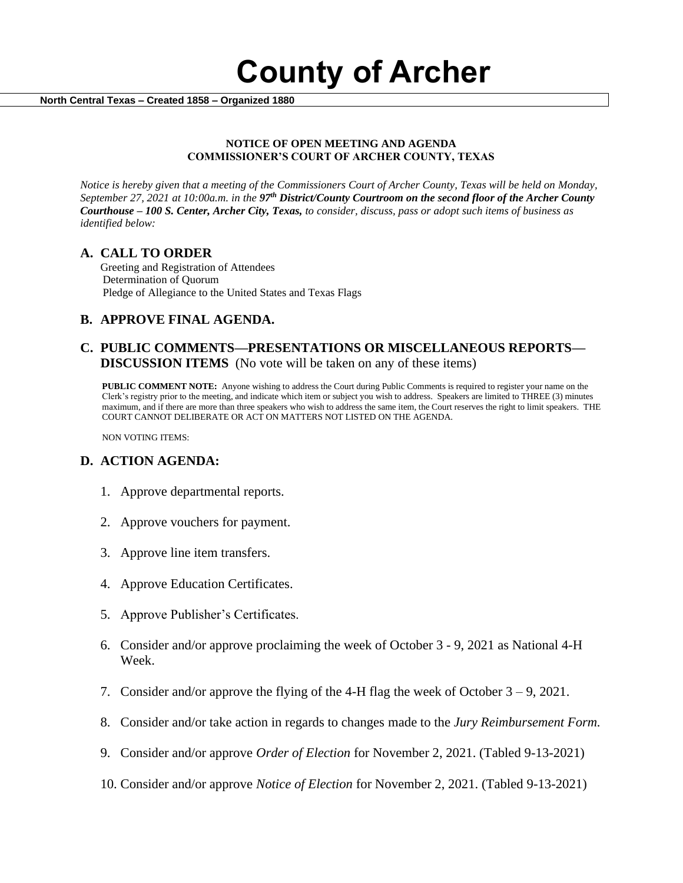**County of Archer** 

 **North Central Texas – Created 1858 – Organized 1880**

#### **NOTICE OF OPEN MEETING AND AGENDA COMMISSIONER'S COURT OF ARCHER COUNTY, TEXAS**

*Notice is hereby given that a meeting of the Commissioners Court of Archer County, Texas will be held on Monday, September 27, 2021 at 10:00a.m. in the 97th District/County Courtroom on the second floor of the Archer County Courthouse – 100 S. Center, Archer City, Texas, to consider, discuss, pass or adopt such items of business as identified below:*

#### **A. CALL TO ORDER**

 Greeting and Registration of Attendees Determination of Quorum Pledge of Allegiance to the United States and Texas Flags

## **B. APPROVE FINAL AGENDA.**

#### **C. PUBLIC COMMENTS—PRESENTATIONS OR MISCELLANEOUS REPORTS— DISCUSSION ITEMS** (No vote will be taken on any of these items)

**PUBLIC COMMENT NOTE:** Anyone wishing to address the Court during Public Comments is required to register your name on the Clerk's registry prior to the meeting, and indicate which item or subject you wish to address. Speakers are limited to THREE (3) minutes maximum, and if there are more than three speakers who wish to address the same item, the Court reserves the right to limit speakers. THE COURT CANNOT DELIBERATE OR ACT ON MATTERS NOT LISTED ON THE AGENDA.

NON VOTING ITEMS:

### **D. ACTION AGENDA:**

- 1. Approve departmental reports.
- 2. Approve vouchers for payment.
- 3. Approve line item transfers.
- 4. Approve Education Certificates.
- 5. Approve Publisher's Certificates.
- 6. Consider and/or approve proclaiming the week of October 3 9, 2021 as National 4-H Week.
- 7. Consider and/or approve the flying of the 4-H flag the week of October  $3 9$ , 2021.
- 8. Consider and/or take action in regards to changes made to the *Jury Reimbursement Form.*
- 9. Consider and/or approve *Order of Election* for November 2, 2021. (Tabled 9-13-2021)
- 10. Consider and/or approve *Notice of Election* for November 2, 2021. (Tabled 9-13-2021)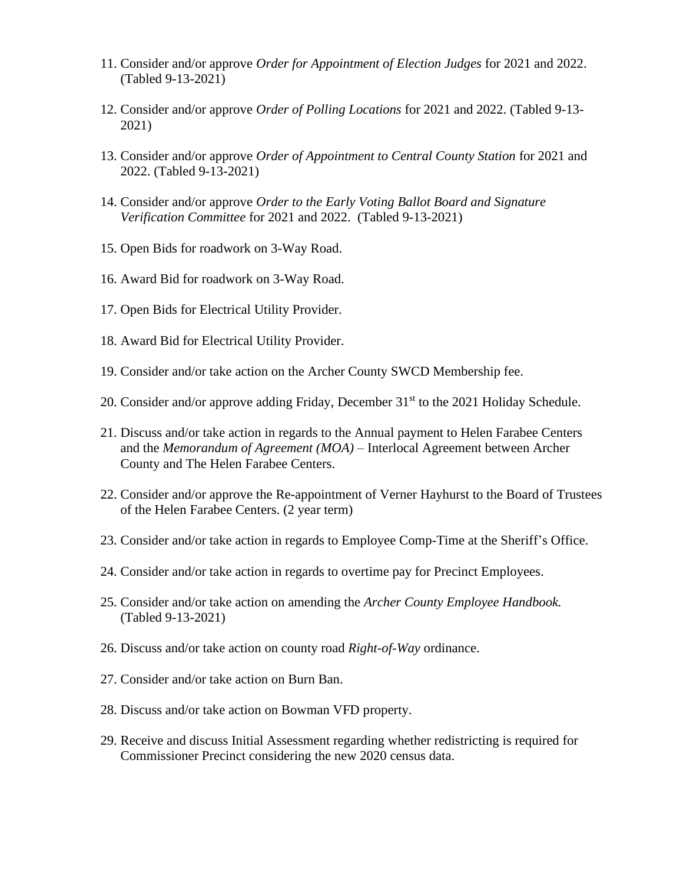- 11. Consider and/or approve *Order for Appointment of Election Judges* for 2021 and 2022. (Tabled 9-13-2021)
- 12. Consider and/or approve *Order of Polling Locations* for 2021 and 2022. (Tabled 9-13- 2021)
- 13. Consider and/or approve *Order of Appointment to Central County Station* for 2021 and 2022. (Tabled 9-13-2021)
- 14. Consider and/or approve *Order to the Early Voting Ballot Board and Signature Verification Committee* for 2021 and 2022. (Tabled 9-13-2021)
- 15. Open Bids for roadwork on 3-Way Road.
- 16. Award Bid for roadwork on 3-Way Road.
- 17. Open Bids for Electrical Utility Provider.
- 18. Award Bid for Electrical Utility Provider.
- 19. Consider and/or take action on the Archer County SWCD Membership fee.
- 20. Consider and/or approve adding Friday, December 31<sup>st</sup> to the 2021 Holiday Schedule.
- 21. Discuss and/or take action in regards to the Annual payment to Helen Farabee Centers and the *Memorandum of Agreement (MOA) –* Interlocal Agreement between Archer County and The Helen Farabee Centers.
- 22. Consider and/or approve the Re-appointment of Verner Hayhurst to the Board of Trustees of the Helen Farabee Centers. (2 year term)
- 23. Consider and/or take action in regards to Employee Comp-Time at the Sheriff's Office.
- 24. Consider and/or take action in regards to overtime pay for Precinct Employees.
- 25. Consider and/or take action on amending the *Archer County Employee Handbook.*  (Tabled 9-13-2021)
- 26. Discuss and/or take action on county road *Right-of-Way* ordinance.
- 27. Consider and/or take action on Burn Ban.
- 28. Discuss and/or take action on Bowman VFD property.
- 29. Receive and discuss Initial Assessment regarding whether redistricting is required for Commissioner Precinct considering the new 2020 census data.